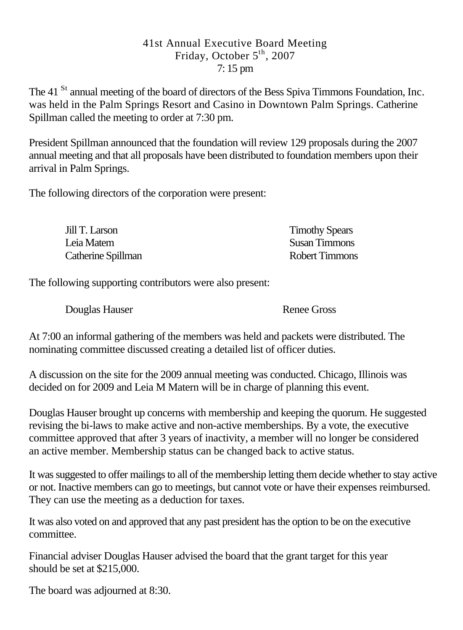## 41st Annual Executive Board Meeting Friday, October 5<sup>th</sup>, 2007 7: 15 pm

The 41<sup>St</sup> annual meeting of the board of directors of the Bess Spiva Timmons Foundation, Inc. was held in the Palm Springs Resort and Casino in Downtown Palm Springs. Catherine Spillman called the meeting to order at 7:30 pm.

President Spillman announced that the foundation will review 129 proposals during the 2007 annual meeting and that all proposals have been distributed to foundation members upon their arrival in Palm Springs.

The following directors of the corporation were present:

| Jill T. Larson     | <b>Timothy Spears</b> |
|--------------------|-----------------------|
| Leia Matem         | Susan Timmons         |
| Catherine Spillman | Robert Timmons        |

The following supporting contributors were also present:

Douglas Hauser Renee Gross

At 7:00 an informal gathering of the members was held and packets were distributed. The nominating committee discussed creating a detailed list of officer duties.

A discussion on the site for the 2009 annual meeting was conducted. Chicago, Illinois was decided on for 2009 and Leia M Matern will be in charge of planning this event.

Douglas Hauser brought up concerns with membership and keeping the quorum. He suggested revising the bi-laws to make active and non-active memberships. By a vote, the executive committee approved that after 3 years of inactivity, a member will no longer be considered an active member. Membership status can be changed back to active status.

It was suggested to offer mailings to all of the membership letting them decide whether to stay active or not. Inactive members can go to meetings, but cannot vote or have their expenses reimbursed. They can use the meeting as a deduction for taxes.

It was also voted on and approved that any past president has the option to be on the executive committee.

Financial adviser Douglas Hauser advised the board that the grant target for this year should be set at \$215,000.

The board was adjourned at 8:30.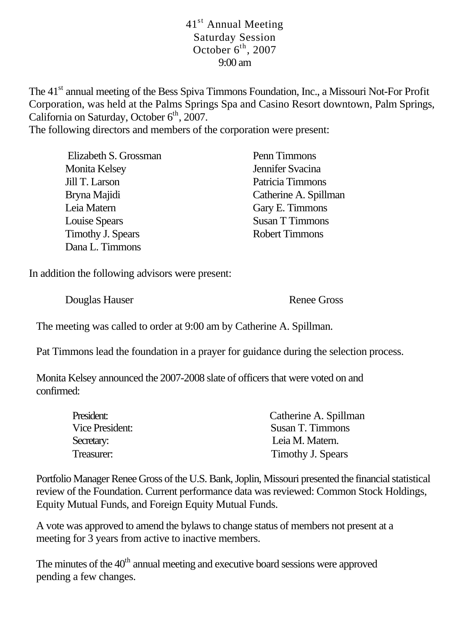## 41<sup>st</sup> Annual Meeting Saturday Session October  $6^{th}$ , 2007 9:00 am

The 41<sup>st</sup> annual meeting of the Bess Spiva Timmons Foundation, Inc., a Missouri Not-For Profit Corporation, was held at the Palms Springs Spa and Casino Resort downtown, Palm Springs, California on Saturday, October  $6<sup>th</sup>$ , 2007.

The following directors and members of the corporation were present:

| Elizabeth S. Grossman | Penn Timmons          |
|-----------------------|-----------------------|
| Monita Kelsey         | Jennifer Svacina      |
| Jill T. Larson        | Patricia Timmons      |
| Bryna Majidi          | Catherine A. Spillman |
| Leia Matern           | Gary E. Timmons       |
| Louise Spears         | Susan T Timmons       |
| Timothy J. Spears     | <b>Robert Timmons</b> |
| Dana L. Timmons       |                       |

In addition the following advisors were present:

Douglas Hauser Renee Gross

The meeting was called to order at 9:00 am by Catherine A. Spillman.

Pat Timmons lead the foundation in a prayer for guidance during the selection process.

Monita Kelsey announced the 2007-2008 slate of officers that were voted on and confirmed:

| President:      | Catherine A. Spillman |
|-----------------|-----------------------|
| Vice President: | Susan T. Timmons      |
| Secretary:      | Leia M. Matern.       |
| Treasurer:      | Timothy J. Spears     |

Portfolio Manager Renee Gross of the U.S. Bank, Joplin, Missouri presented the financial statistical review of the Foundation. Current performance data was reviewed: Common Stock Holdings, Equity Mutual Funds, and Foreign Equity Mutual Funds.

A vote was approved to amend the bylaws to change status of members not present at a meeting for 3 years from active to inactive members.

The minutes of the  $40<sup>th</sup>$  annual meeting and executive board sessions were approved pending a few changes.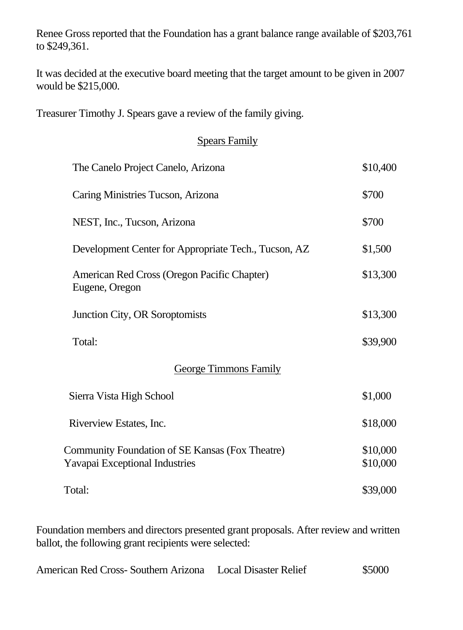Renee Gross reported that the Foundation has a grant balance range available of \$203,761 to \$249,361.

It was decided at the executive board meeting that the target amount to be given in 2007 would be \$215,000.

Treasurer Timothy J. Spears gave a review of the family giving.

## Spears Family

| The Canelo Project Canelo, Arizona                                                | \$10,400             |
|-----------------------------------------------------------------------------------|----------------------|
| Caring Ministries Tucson, Arizona                                                 | \$700                |
| NEST, Inc., Tucson, Arizona                                                       | \$700                |
| Development Center for Appropriate Tech., Tucson, AZ                              | \$1,500              |
| American Red Cross (Oregon Pacific Chapter)<br>Eugene, Oregon                     | \$13,300             |
| Junction City, OR Soroptomists                                                    | \$13,300             |
| Total:                                                                            | \$39,900             |
| <b>George Timmons Family</b>                                                      |                      |
| Sierra Vista High School                                                          | \$1,000              |
| Riverview Estates, Inc.                                                           | \$18,000             |
| Community Foundation of SE Kansas (Fox Theatre)<br>Yavapai Exceptional Industries | \$10,000<br>\$10,000 |
| Total:                                                                            | \$39,000             |

Foundation members and directors presented grant proposals. After review and written ballot, the following grant recipients were selected:

American Red Cross- Southern Arizona Local Disaster Relief \$5000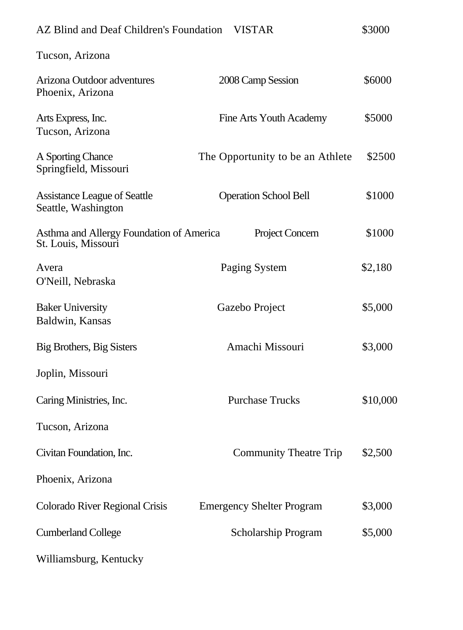| AZ Blind and Deaf Children's Foundation                         | <b>VISTAR</b>                    | \$3000   |
|-----------------------------------------------------------------|----------------------------------|----------|
| Tucson, Arizona                                                 |                                  |          |
| Arizona Outdoor adventures<br>Phoenix, Arizona                  | 2008 Camp Session                | \$6000   |
| Arts Express, Inc.<br>Tucson, Arizona                           | Fine Arts Youth Academy          | \$5000   |
| A Sporting Chance<br>Springfield, Missouri                      | The Opportunity to be an Athlete | \$2500   |
| <b>Assistance League of Seattle</b><br>Seattle, Washington      | <b>Operation School Bell</b>     | \$1000   |
| Asthma and Allergy Foundation of America<br>St. Louis, Missouri | Project Concern                  | \$1000   |
| Avera<br>O'Neill, Nebraska                                      | Paging System                    | \$2,180  |
| <b>Baker University</b><br>Baldwin, Kansas                      | Gazebo Project                   | \$5,000  |
| Big Brothers, Big Sisters                                       | Amachi Missouri                  | \$3,000  |
| Joplin, Missouri                                                |                                  |          |
| Caring Ministries, Inc.                                         | <b>Purchase Trucks</b>           | \$10,000 |
| Tucson, Arizona                                                 |                                  |          |
| Civitan Foundation, Inc.                                        | <b>Community Theatre Trip</b>    | \$2,500  |
| Phoenix, Arizona                                                |                                  |          |
| Colorado River Regional Crisis                                  | <b>Emergency Shelter Program</b> | \$3,000  |
| <b>Cumberland College</b>                                       | Scholarship Program              | \$5,000  |
| Williamsburg, Kentucky                                          |                                  |          |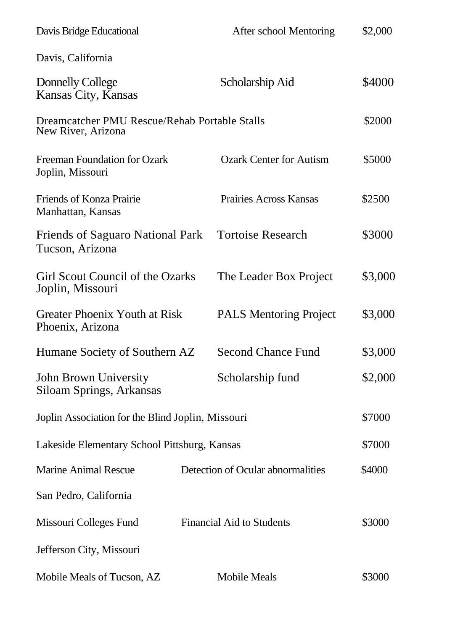| Davis Bridge Educational                                            | After school Mentoring            | \$2,000 |
|---------------------------------------------------------------------|-----------------------------------|---------|
| Davis, California                                                   |                                   |         |
| Donnelly College<br>Kansas City, Kansas                             | Scholarship Aid                   | \$4000  |
| Dreamcatcher PMU Rescue/Rehab Portable Stalls<br>New River, Arizona |                                   | \$2000  |
| Freeman Foundation for Ozark<br>Joplin, Missouri                    | <b>Ozark Center for Autism</b>    | \$5000  |
| Friends of Konza Prairie<br>Manhattan, Kansas                       | Prairies Across Kansas            | \$2500  |
| <b>Friends of Saguaro National Park</b><br>Tucson, Arizona          | <b>Tortoise Research</b>          | \$3000  |
| Girl Scout Council of the Ozarks<br>Joplin, Missouri                | The Leader Box Project            | \$3,000 |
| <b>Greater Phoenix Youth at Risk</b><br>Phoenix, Arizona            | <b>PALS Mentoring Project</b>     | \$3,000 |
| Humane Society of Southern AZ                                       | <b>Second Chance Fund</b>         | \$3,000 |
| John Brown University<br>Siloam Springs, Arkansas                   | Scholarship fund                  | \$2,000 |
| Joplin Association for the Blind Joplin, Missouri                   |                                   | \$7000  |
| Lakeside Elementary School Pittsburg, Kansas                        |                                   | \$7000  |
| <b>Marine Animal Rescue</b>                                         | Detection of Ocular abnormalities | \$4000  |
| San Pedro, California                                               |                                   |         |
| Missouri Colleges Fund                                              | <b>Financial Aid to Students</b>  | \$3000  |
| Jefferson City, Missouri                                            |                                   |         |
| Mobile Meals of Tucson, AZ                                          | Mobile Meals                      | \$3000  |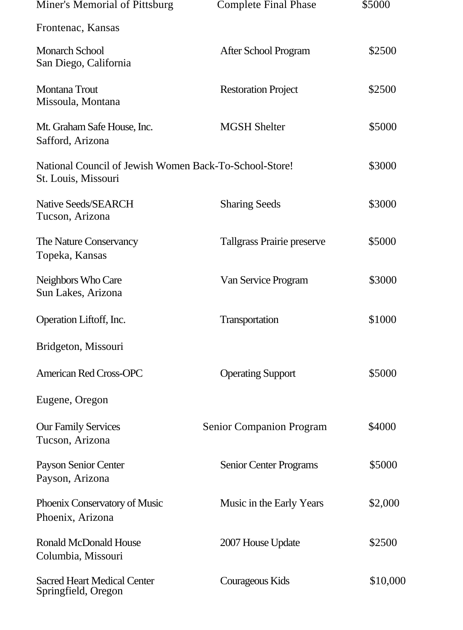| Miner's Memorial of Pittsburg                                                 | <b>Complete Final Phase</b> | \$5000   |
|-------------------------------------------------------------------------------|-----------------------------|----------|
| Frontenac, Kansas                                                             |                             |          |
| <b>Monarch School</b><br>San Diego, California                                | After School Program        | \$2500   |
| Montana Trout<br>Missoula, Montana                                            | <b>Restoration Project</b>  | \$2500   |
| Mt. Graham Safe House, Inc.<br>Safford, Arizona                               | <b>MGSH Shelter</b>         | \$5000   |
| National Council of Jewish Women Back-To-School-Store!<br>St. Louis, Missouri |                             | \$3000   |
| Native Seeds/SEARCH<br>Tucson, Arizona                                        | <b>Sharing Seeds</b>        | \$3000   |
| The Nature Conservancy<br>Topeka, Kansas                                      | Tallgrass Prairie preserve  | \$5000   |
| Neighbors Who Care<br>Sun Lakes, Arizona                                      | Van Service Program         | \$3000   |
| Operation Liftoff, Inc.                                                       | Transportation              | \$1000   |
| Bridgeton, Missouri                                                           |                             |          |
| <b>American Red Cross-OPC</b>                                                 | <b>Operating Support</b>    | \$5000   |
| Eugene, Oregon                                                                |                             |          |
| <b>Our Family Services</b><br>Tucson, Arizona                                 | Senior Companion Program    | \$4000   |
| Payson Senior Center<br>Payson, Arizona                                       | Senior Center Programs      | \$5000   |
| Phoenix Conservatory of Music<br>Phoenix, Arizona                             | Music in the Early Years    | \$2,000  |
| <b>Ronald McDonald House</b><br>Columbia, Missouri                            | 2007 House Update           | \$2500   |
| <b>Sacred Heart Medical Center</b><br>Springfield, Oregon                     | Courageous Kids             | \$10,000 |